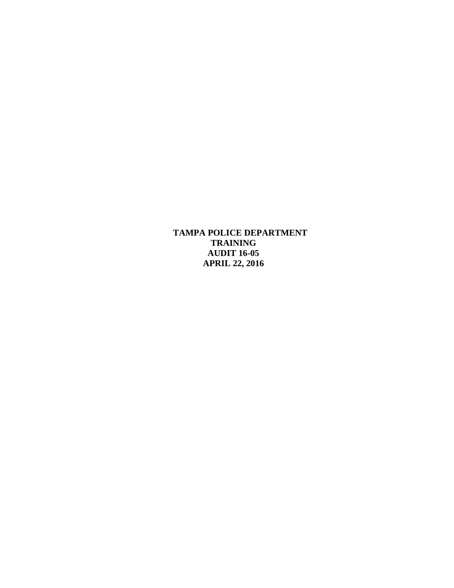**TAMPA POLICE DEPARTMENT TRAINING AUDIT 16-05 APRIL 22, 2016**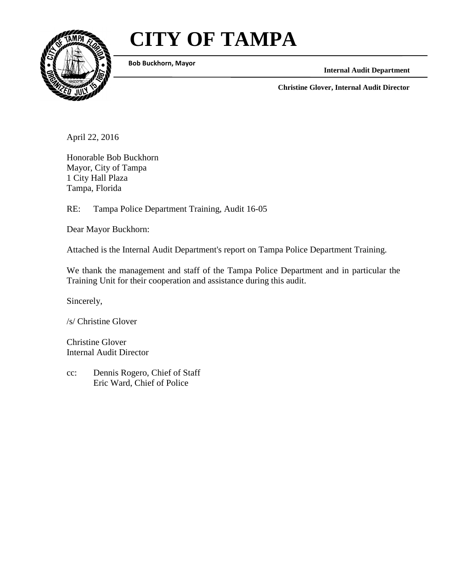# **CITY OF TAMPA**



**Bob Buckhorn, Mayor**

**Internal Audit Department**

**Christine Glover, Internal Audit Director**

April 22, 2016

Honorable Bob Buckhorn Mayor, City of Tampa 1 City Hall Plaza Tampa, Florida

RE: Tampa Police Department Training, Audit 16-05

Dear Mayor Buckhorn:

Attached is the Internal Audit Department's report on Tampa Police Department Training.

We thank the management and staff of the Tampa Police Department and in particular the Training Unit for their cooperation and assistance during this audit.

Sincerely,

/s/ Christine Glover

Christine Glover Internal Audit Director

cc: Dennis Rogero, Chief of Staff Eric Ward, Chief of Police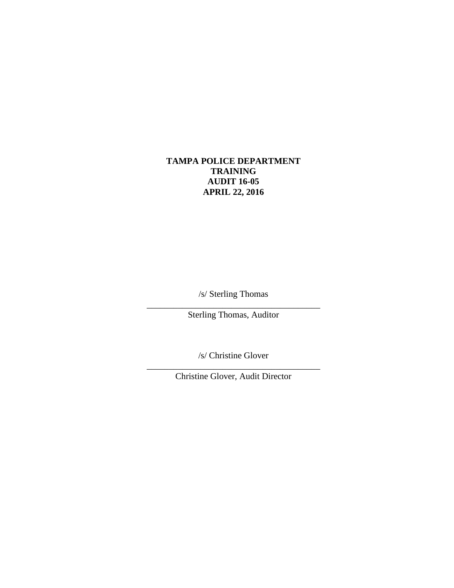# **TAMPA POLICE DEPARTMENT TRAINING AUDIT 16-05 APRIL 22, 2016**

/s/ Sterling Thomas

\_\_\_\_\_\_\_\_\_\_\_\_\_\_\_\_\_\_\_\_\_\_\_\_\_\_\_\_\_\_\_\_\_\_\_\_\_\_\_ Sterling Thomas, Auditor

/s/ Christine Glover

\_\_\_\_\_\_\_\_\_\_\_\_\_\_\_\_\_\_\_\_\_\_\_\_\_\_\_\_\_\_\_\_\_\_\_\_\_\_\_ Christine Glover, Audit Director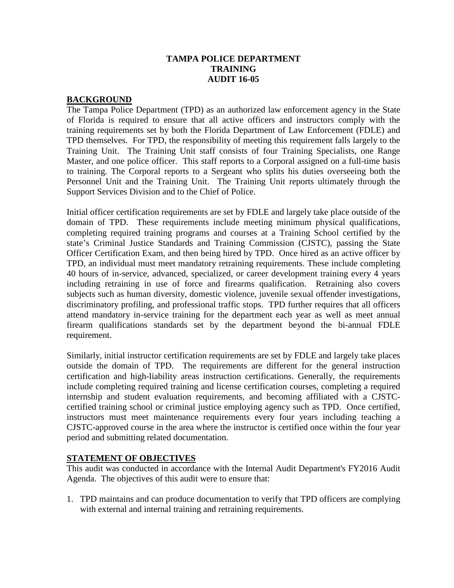## **TAMPA POLICE DEPARTMENT TRAINING AUDIT 16-05**

#### **BACKGROUND**

The Tampa Police Department (TPD) as an authorized law enforcement agency in the State of Florida is required to ensure that all active officers and instructors comply with the training requirements set by both the Florida Department of Law Enforcement (FDLE) and TPD themselves. For TPD, the responsibility of meeting this requirement falls largely to the Training Unit. The Training Unit staff consists of four Training Specialists, one Range Master, and one police officer. This staff reports to a Corporal assigned on a full-time basis to training. The Corporal reports to a Sergeant who splits his duties overseeing both the Personnel Unit and the Training Unit. The Training Unit reports ultimately through the Support Services Division and to the Chief of Police.

Initial officer certification requirements are set by FDLE and largely take place outside of the domain of TPD. These requirements include meeting minimum physical qualifications, completing required training programs and courses at a Training School certified by the state's Criminal Justice Standards and Training Commission (CJSTC), passing the State Officer Certification Exam, and then being hired by TPD. Once hired as an active officer by TPD, an individual must meet mandatory retraining requirements. These include completing 40 hours of in-service, advanced, specialized, or career development training every 4 years including retraining in use of force and firearms qualification. Retraining also covers subjects such as human diversity, domestic violence, juvenile sexual offender investigations, discriminatory profiling, and professional traffic stops. TPD further requires that all officers attend mandatory in-service training for the department each year as well as meet annual firearm qualifications standards set by the department beyond the bi-annual FDLE requirement.

Similarly, initial instructor certification requirements are set by FDLE and largely take places outside the domain of TPD. The requirements are different for the general instruction certification and high-liability areas instruction certifications. Generally, the requirements include completing required training and license certification courses, completing a required internship and student evaluation requirements, and becoming affiliated with a CJSTCcertified training school or criminal justice employing agency such as TPD. Once certified, instructors must meet maintenance requirements every four years including teaching a CJSTC-approved course in the area where the instructor is certified once within the four year period and submitting related documentation.

#### **STATEMENT OF OBJECTIVES**

This audit was conducted in accordance with the Internal Audit Department's FY2016 Audit Agenda. The objectives of this audit were to ensure that:

1. TPD maintains and can produce documentation to verify that TPD officers are complying with external and internal training and retraining requirements.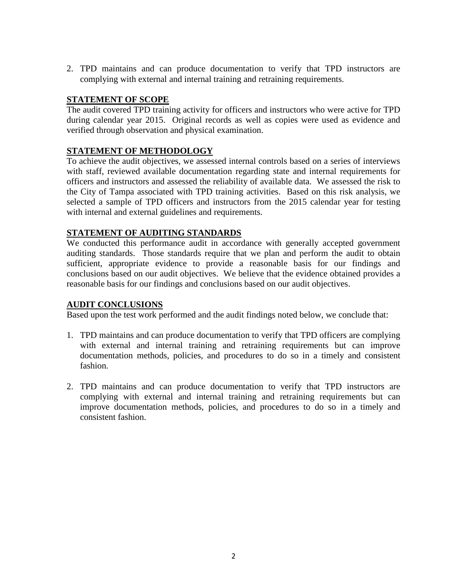2. TPD maintains and can produce documentation to verify that TPD instructors are complying with external and internal training and retraining requirements.

## **STATEMENT OF SCOPE**

The audit covered TPD training activity for officers and instructors who were active for TPD during calendar year 2015. Original records as well as copies were used as evidence and verified through observation and physical examination.

## **STATEMENT OF METHODOLOGY**

To achieve the audit objectives, we assessed internal controls based on a series of interviews with staff, reviewed available documentation regarding state and internal requirements for officers and instructors and assessed the reliability of available data. We assessed the risk to the City of Tampa associated with TPD training activities. Based on this risk analysis, we selected a sample of TPD officers and instructors from the 2015 calendar year for testing with internal and external guidelines and requirements.

## **STATEMENT OF AUDITING STANDARDS**

We conducted this performance audit in accordance with generally accepted government auditing standards. Those standards require that we plan and perform the audit to obtain sufficient, appropriate evidence to provide a reasonable basis for our findings and conclusions based on our audit objectives. We believe that the evidence obtained provides a reasonable basis for our findings and conclusions based on our audit objectives.

## **AUDIT CONCLUSIONS**

Based upon the test work performed and the audit findings noted below, we conclude that:

- 1. TPD maintains and can produce documentation to verify that TPD officers are complying with external and internal training and retraining requirements but can improve documentation methods, policies, and procedures to do so in a timely and consistent fashion.
- 2. TPD maintains and can produce documentation to verify that TPD instructors are complying with external and internal training and retraining requirements but can improve documentation methods, policies, and procedures to do so in a timely and consistent fashion.